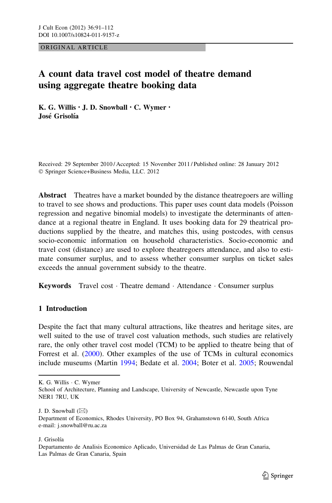ORIGINAL ARTICLE

# A count data travel cost model of theatre demand using aggregate theatre booking data

K. G. Willis • J. D. Snowball • C. Wymer • José Grisolía

Received: 29 September 2010 / Accepted: 15 November 2011 / Published online: 28 January 2012 - Springer Science+Business Media, LLC. 2012

Abstract Theatres have a market bounded by the distance theatregoers are willing to travel to see shows and productions. This paper uses count data models (Poisson regression and negative binomial models) to investigate the determinants of attendance at a regional theatre in England. It uses booking data for 29 theatrical productions supplied by the theatre, and matches this, using postcodes, with census socio-economic information on household characteristics. Socio-economic and travel cost (distance) are used to explore theatregoers attendance, and also to estimate consumer surplus, and to assess whether consumer surplus on ticket sales exceeds the annual government subsidy to the theatre.

Keywords Travel cost · Theatre demand · Attendance · Consumer surplus

## 1 Introduction

Despite the fact that many cultural attractions, like theatres and heritage sites, are well suited to the use of travel cost valuation methods, such studies are relatively rare, the only other travel cost model (TCM) to be applied to theatre being that of Forrest et al. ([2000\)](#page-20-0). Other examples of the use of TCMs in cultural economics include museums (Martin [1994](#page-20-0); Bedate et al. [2004;](#page-19-0) Boter et al. [2005;](#page-20-0) Rouwendal

K. G. Willis - C. Wymer

J. D. Snowball  $(\boxtimes)$ 

J. Grisolía

School of Architecture, Planning and Landscape, University of Newcastle, Newcastle upon Tyne NER1 7RU, UK

Department of Economics, Rhodes University, PO Box 94, Grahamstown 6140, South Africa e-mail: j.snowball@ru.ac.za

Departamento de Analisis Economico Aplicado, Universidad de Las Palmas de Gran Canaria, Las Palmas de Gran Canaria, Spain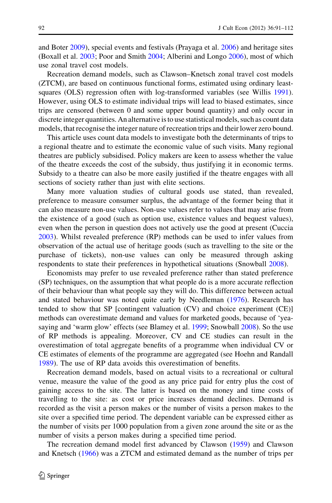and Boter [2009\)](#page-20-0), special events and festivals (Prayaga et al. [2006\)](#page-20-0) and heritage sites (Boxall et al. [2003;](#page-20-0) Poor and Smith [2004;](#page-20-0) Alberini and Longo [2006\)](#page-19-0), most of which use zonal travel cost models.

Recreation demand models, such as Clawson–Knetsch zonal travel cost models (ZTCM), are based on continuous functional forms, estimated using ordinary least-squares (OLS) regression often with log-transformed variables (see Willis [1991\)](#page-21-0). However, using OLS to estimate individual trips will lead to biased estimates, since trips are censored (between 0 and some upper bound quantity) and only occur in discrete integer quantities. An alternative is to use statistical models, such as count data models, that recognise the integer nature of recreation trips and their lower zero bound.

This article uses count data models to investigate both the determinants of trips to a regional theatre and to estimate the economic value of such visits. Many regional theatres are publicly subsidised. Policy makers are keen to assess whether the value of the theatre exceeds the cost of the subsidy, thus justifying it in economic terms. Subsidy to a theatre can also be more easily justified if the theatre engages with all sections of society rather than just with elite sections.

Many more valuation studies of cultural goods use stated, than revealed, preference to measure consumer surplus, the advantage of the former being that it can also measure non-use values. Non-use values refer to values that may arise from the existence of a good (such as option use, existence values and bequest values), even when the person in question does not actively use the good at present (Cuccia [2003\)](#page-20-0). Whilst revealed preference (RP) methods can be used to infer values from observation of the actual use of heritage goods (such as travelling to the site or the purchase of tickets), non-use values can only be measured through asking respondents to state their preferences in hypothetical situations (Snowball [2008](#page-20-0)).

Economists may prefer to use revealed preference rather than stated preference (SP) techniques, on the assumption that what people do is a more accurate reflection of their behaviour than what people say they will do. This difference between actual and stated behaviour was noted quite early by Needleman [\(1976](#page-20-0)). Research has tended to show that SP [contingent valuation (CV) and choice experiment (CE)] methods can overestimate demand and values for marketed goods, because of 'yeasaying and 'warm glow' effects (see Blamey et al. [1999;](#page-19-0) Snowball [2008](#page-20-0)). So the use of RP methods is appealing. Moreover, CV and CE studies can result in the overestimation of total aggregate benefits of a programme when individual CV or CE estimates of elements of the programme are aggregated (see Hoehn and Randall [1989\)](#page-20-0). The use of RP data avoids this overestimation of benefits.

Recreation demand models, based on actual visits to a recreational or cultural venue, measure the value of the good as any price paid for entry plus the cost of gaining access to the site. The latter is based on the money and time costs of travelling to the site: as cost or price increases demand declines. Demand is recorded as the visit a person makes or the number of visits a person makes to the site over a specified time period. The dependent variable can be expressed either as the number of visits per 1000 population from a given zone around the site or as the number of visits a person makes during a specified time period.

The recreation demand model first advanced by Clawson ([1959\)](#page-20-0) and Clawson and Knetsch [\(1966](#page-20-0)) was a ZTCM and estimated demand as the number of trips per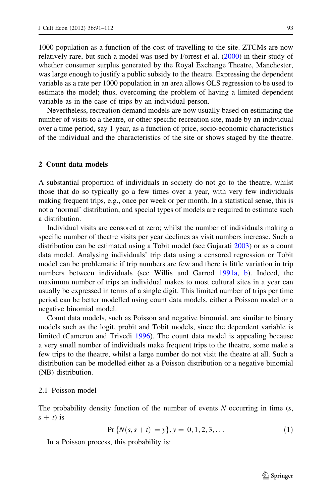1000 population as a function of the cost of travelling to the site. ZTCMs are now relatively rare, but such a model was used by Forrest et al. ([2000\)](#page-20-0) in their study of whether consumer surplus generated by the Royal Exchange Theatre, Manchester, was large enough to justify a public subsidy to the theatre. Expressing the dependent variable as a rate per 1000 population in an area allows OLS regression to be used to estimate the model; thus, overcoming the problem of having a limited dependent variable as in the case of trips by an individual person.

Nevertheless, recreation demand models are now usually based on estimating the number of visits to a theatre, or other specific recreation site, made by an individual over a time period, say 1 year, as a function of price, socio-economic characteristics of the individual and the characteristics of the site or shows staged by the theatre.

### 2 Count data models

A substantial proportion of individuals in society do not go to the theatre, whilst those that do so typically go a few times over a year, with very few individuals making frequent trips, e.g., once per week or per month. In a statistical sense, this is not a 'normal' distribution, and special types of models are required to estimate such a distribution.

Individual visits are censored at zero; whilst the number of individuals making a specific number of theatre visits per year declines as visit numbers increase. Such a distribution can be estimated using a Tobit model (see Gujarati [2003](#page-20-0)) or as a count data model. Analysing individuals' trip data using a censored regression or Tobit model can be problematic if trip numbers are few and there is little variation in trip numbers between individuals (see Willis and Garrod [1991a](#page-21-0), [b](#page-21-0)). Indeed, the maximum number of trips an individual makes to most cultural sites in a year can usually be expressed in terms of a single digit. This limited number of trips per time period can be better modelled using count data models, either a Poisson model or a negative binomial model.

Count data models, such as Poisson and negative binomial, are similar to binary models such as the logit, probit and Tobit models, since the dependent variable is limited (Cameron and Trivedi [1996\)](#page-20-0). The count data model is appealing because a very small number of individuals make frequent trips to the theatre, some make a few trips to the theatre, whilst a large number do not visit the theatre at all. Such a distribution can be modelled either as a Poisson distribution or a negative binomial (NB) distribution.

#### 2.1 Poisson model

The probability density function of the number of events  $N$  occurring in time  $(s,$  $s + t$ ) is

$$
Pr\{N(s, s+t) = y\}, y = 0, 1, 2, 3, \dots
$$
\n(1)

In a Poisson process, this probability is: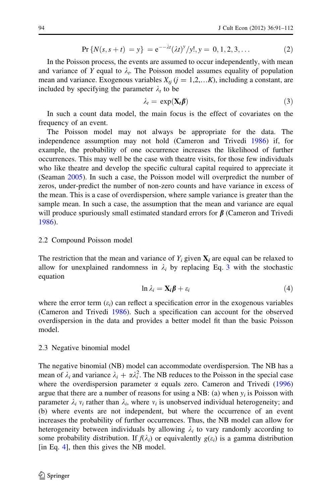$$
Pr\{N(s, s+t) = y\} = e^{-\lambda t} (\lambda t)^y / y!, y = 0, 1, 2, 3, ... \tag{2}
$$

In the Poisson process, the events are assumed to occur independently, with mean and variance of Y equal to  $\lambda_t$ . The Poisson model assumes equality of population mean and variance. Exogenous variables  $X_{ti}$  ( $j = 1,2,...K$ ), including a constant, are included by specifying the parameter  $\lambda_t$  to be

$$
\lambda_t = \exp(\mathbf{X}_t \boldsymbol{\beta}) \tag{3}
$$

In such a count data model, the main focus is the effect of covariates on the frequency of an event.

The Poisson model may not always be appropriate for the data. The independence assumption may not hold (Cameron and Trivedi [1986\)](#page-20-0) if, for example, the probability of one occurrence increases the likelihood of further occurrences. This may well be the case with theatre visits, for those few individuals who like theatre and develop the specific cultural capital required to appreciate it (Seaman [2005](#page-20-0)). In such a case, the Poisson model will overpredict the number of zeros, under-predict the number of non-zero counts and have variance in excess of the mean. This is a case of overdispersion, where sample variance is greater than the sample mean. In such a case, the assumption that the mean and variance are equal will produce spuriously small estimated standard errors for  $\beta$  (Cameron and Trivedi [1986\)](#page-20-0).

#### 2.2 Compound Poisson model

The restriction that the mean and variance of  $Y_i$  given  $X_i$  are equal can be relaxed to allow for unexplained randomness in  $\lambda_i$  by replacing Eq. 3 with the stochastic equation

$$
\ln \lambda_i = \mathbf{X}_i \boldsymbol{\beta} + \varepsilon_i \tag{4}
$$

where the error term  $(\varepsilon_i)$  can reflect a specification error in the exogenous variables (Cameron and Trivedi [1986\)](#page-20-0). Such a specification can account for the observed overdispersion in the data and provides a better model fit than the basic Poisson model.

#### 2.3 Negative binomial model

The negative binomial (NB) model can accommodate overdispersion. The NB has a mean of  $\lambda_i$  and variance  $\lambda_i + \alpha \lambda_i^2$ . The NB reduces to the Poisson in the special case where the overdispersion parameter  $\alpha$  equals zero. Cameron and Trivedi [\(1996](#page-20-0)) argue that there are a number of reasons for using a NB: (a) when  $y_i$  is Poisson with parameter  $\lambda_i$   $v_i$  rather than  $\lambda_i$ , where  $v_i$  is unobserved individual heterogeneity; and (b) where events are not independent, but where the occurrence of an event increases the probability of further occurrences. Thus, the NB model can allow for heterogeneity between individuals by allowing  $\lambda_i$  to vary randomly according to some probability distribution. If  $f(\lambda_i)$  or equivalently  $g(\varepsilon_i)$  is a gamma distribution [in Eq. 4], then this gives the NB model.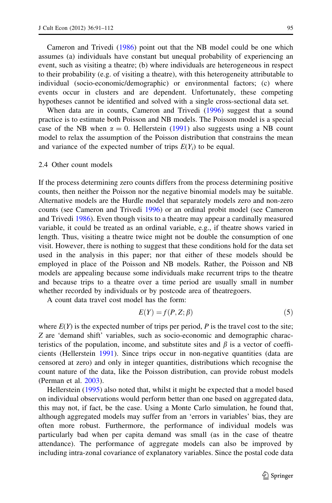Cameron and Trivedi ([1986\)](#page-20-0) point out that the NB model could be one which assumes (a) individuals have constant but unequal probability of experiencing an event, such as visiting a theatre; (b) where individuals are heterogeneous in respect to their probability (e.g. of visiting a theatre), with this heterogeneity attributable to individual (socio-economic/demographic) or environmental factors; (c) where events occur in clusters and are dependent. Unfortunately, these competing hypotheses cannot be identified and solved with a single cross-sectional data set.

When data are in counts, Cameron and Trivedi [\(1996](#page-20-0)) suggest that a sound practice is to estimate both Poisson and NB models. The Poisson model is a special case of the NB when  $\alpha = 0$ . Hellerstein ([1991\)](#page-20-0) also suggests using a NB count model to relax the assumption of the Poisson distribution that constrains the mean and variance of the expected number of trips  $E(Y_i)$  to be equal.

## 2.4 Other count models

If the process determining zero counts differs from the process determining positive counts, then neither the Poisson nor the negative binomial models may be suitable. Alternative models are the Hurdle model that separately models zero and non-zero counts (see Cameron and Trivedi [1996\)](#page-20-0) or an ordinal probit model (see Cameron and Trivedi [1986\)](#page-20-0). Even though visits to a theatre may appear a cardinally measured variable, it could be treated as an ordinal variable, e.g., if theatre shows varied in length. Thus, visiting a theatre twice might not be double the consumption of one visit. However, there is nothing to suggest that these conditions hold for the data set used in the analysis in this paper; nor that either of these models should be employed in place of the Poisson and NB models. Rather, the Poisson and NB models are appealing because some individuals make recurrent trips to the theatre and because trips to a theatre over a time period are usually small in number whether recorded by individuals or by postcode area of theatregoers.

A count data travel cost model has the form:

$$
E(Y) = f(P, Z; \beta) \tag{5}
$$

where  $E(Y)$  is the expected number of trips per period, P is the travel cost to the site; Z are 'demand shift' variables, such as socio-economic and demographic characteristics of the population, income, and substitute sites and  $\beta$  is a vector of coefficients (Hellerstein [1991](#page-20-0)). Since trips occur in non-negative quantities (data are censored at zero) and only in integer quantities, distributions which recognise the count nature of the data, like the Poisson distribution, can provide robust models (Perman et al. [2003\)](#page-20-0).

Hellerstein [\(1995](#page-20-0)) also noted that, whilst it might be expected that a model based on individual observations would perform better than one based on aggregated data, this may not, if fact, be the case. Using a Monte Carlo simulation, he found that, although aggregated models may suffer from an 'errors in variables' bias, they are often more robust. Furthermore, the performance of individual models was particularly bad when per capita demand was small (as in the case of theatre attendance). The performance of aggregate models can also be improved by including intra-zonal covariance of explanatory variables. Since the postal code data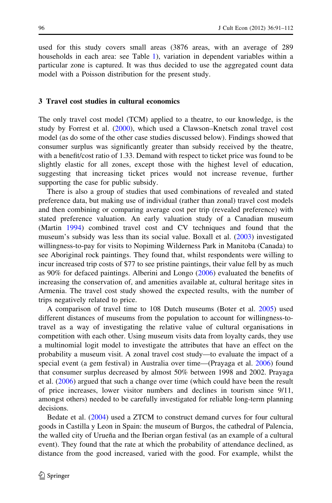used for this study covers small areas (3876 areas, with an average of 289 households in each area: see Table [1\)](#page-6-0), variation in dependent variables within a particular zone is captured. It was thus decided to use the aggregated count data model with a Poisson distribution for the present study.

#### 3 Travel cost studies in cultural economics

The only travel cost model (TCM) applied to a theatre, to our knowledge, is the study by Forrest et al. [\(2000](#page-20-0)), which used a Clawson–Knetsch zonal travel cost model (as do some of the other case studies discussed below). Findings showed that consumer surplus was significantly greater than subsidy received by the theatre, with a benefit/cost ratio of 1.33. Demand with respect to ticket price was found to be slightly elastic for all zones, except those with the highest level of education, suggesting that increasing ticket prices would not increase revenue, further supporting the case for public subsidy.

There is also a group of studies that used combinations of revealed and stated preference data, but making use of individual (rather than zonal) travel cost models and then combining or comparing average cost per trip (revealed preference) with stated preference valuation. An early valuation study of a Canadian museum (Martin [1994\)](#page-20-0) combined travel cost and CV techniques and found that the museum's subsidy was less than its social value. Boxall et al. [\(2003](#page-20-0)) investigated willingness-to-pay for visits to Nopiming Wilderness Park in Manitoba (Canada) to see Aboriginal rock paintings. They found that, whilst respondents were willing to incur increased trip costs of \$77 to see pristine paintings, their value fell by as much as 90% for defaced paintings. Alberini and Longo [\(2006](#page-19-0)) evaluated the benefits of increasing the conservation of, and amenities available at, cultural heritage sites in Armenia. The travel cost study showed the expected results, with the number of trips negatively related to price.

A comparison of travel time to 108 Dutch museums (Boter et al. [2005\)](#page-20-0) used different distances of museums from the population to account for willingness-totravel as a way of investigating the relative value of cultural organisations in competition with each other. Using museum visits data from loyalty cards, they use a multinomial logit model to investigate the attributes that have an effect on the probability a museum visit. A zonal travel cost study—to evaluate the impact of a special event (a gem festival) in Australia over time—(Prayaga et al. [2006](#page-20-0)) found that consumer surplus decreased by almost 50% between 1998 and 2002. Prayaga et al. [\(2006](#page-20-0)) argued that such a change over time (which could have been the result of price increases, lower visitor numbers and declines in tourism since 9/11, amongst others) needed to be carefully investigated for reliable long-term planning decisions.

Bedate et al. [\(2004](#page-19-0)) used a ZTCM to construct demand curves for four cultural goods in Castilla y Leon in Spain: the museum of Burgos, the cathedral of Palencia, the walled city of Uruena and the Iberian organ festival (as an example of a cultural event). They found that the rate at which the probability of attendance declined, as distance from the good increased, varied with the good. For example, whilst the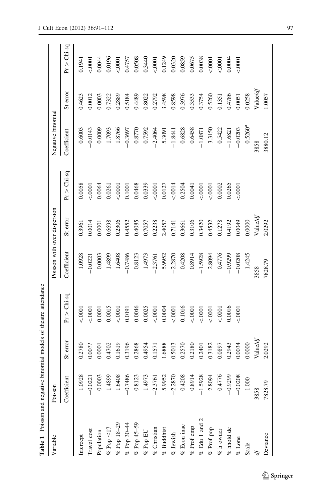<span id="page-6-0"></span>

| Table 1 Poisson and negative binomial models of theatre attendance |             |          |               |             |                              |               |                   |          |               |
|--------------------------------------------------------------------|-------------|----------|---------------|-------------|------------------------------|---------------|-------------------|----------|---------------|
| Variable                                                           | Poisson     |          |               |             | Poisson with over dispersion |               | Negative binomial |          |               |
|                                                                    | Coefficient | St error | $Pr > Chi-sq$ | Coefficient | St error                     | $Pr > Chi-sq$ | Coefficient       | St error | $Pr > Chi-sq$ |
| Intercept                                                          | 1.0928      | 0.2780   | 50001         | 1.0928      | 0.3961                       | 0.0058        | 0.6003            | 0.4623   | 0.1941        |
| Travel cost                                                        | $-0.0221$   | 0.00??   | 0001          | $-0.0221$   | 0.0014                       | $-.0001$      | $-0.0143$         | 0.0012   | 50001         |
| Population                                                         | 0.0003      | 0.0001   | 0.0001        | 0.0003      | 0.0001                       | 0.0064        | 0.0009            | 0.0003   | 0.0044        |
| $\%$ Pop ${\leq}17$                                                | 1.4899      | 0.4702   | 0.0015        | 1.4899      | 0.6698                       | 0.0261        | 1.7093            | 0.7322   | 0.0196        |
| $%$ Pop 18-29                                                      | 1.6408      | 0.1619   | 0001          | 1.6408      | 0.2306                       | 50001         | 1.8766            | 0.2889   | 0001          |
| $\%$ Pop 30-44                                                     | $-0.7486$   | 0.3196   | 0.0191        | $-0.7486$   | 0.4552                       | 0.1001        | $-0.3697$         | 0.5184   | 0.4757        |
| % Pop $45-59$                                                      | 0.812       | 0.2868   | 0.0046        | 0.8123      | 0.4085                       | 0.0468        | 0.8770            | 0.4489   | 0.0508        |
| $\%$ Pop EU                                                        | 1.497       | 0.4954   | 0.0025        | 1.4973      | 0.7057                       | 0.0339        | $-0.7592$         | 0.8022   | 0.3440        |
| $\%$ Christian                                                     | $-2.3761$   | 0.1571   | < .0001       | $-2.3761$   | 0.2238                       | 0001          | $-2.4064$         | 0.2792   | 0001          |
| $\%$ Buddhist                                                      | 5.995       | 1.6888   | 0.0004        | 5.9952      | 2.4057                       | 0.0127        | 5.3091            | 3.4598   | 0.1249        |
| $\%$ Jewish                                                        | $-2.287$    | 0.5013   | < .0001       | $-2.2870$   | 0.7141                       | 0.0014        | $-1.8441$         | 0.8598   | 0.0320        |
|                                                                    | 0.4208      | 0.2570   | 0.1016        | 0.4208      | 0.3661                       | 0.2504        | 0.6828            | 0.3976   | 0.0859        |
| $\%$ Econ inac $\%$ Prof emp                                       | 0.891       | 0.2180   | < .0001       | 0.8914      | 0.3106                       | 0.0041        | 0.6458            | 0.3533   | 0.0675        |
| $\%$ Edu 1 and 2                                                   | $-1.5928$   | 0.2401   | 50001         | $-1.5928$   | 0.3420                       | 0001          | $-1.0871$         | 0.3754   | 0.0038        |
| $\%$ Prof pop                                                      | 2.8094      | 0.3182   | 0001          | 2.8094      | 0.4532                       | 0001          | 3.3150            | 0.5260   | 0001          |
| $\%$ h owner                                                       | 0.477       | 0.0897   | 0001          | 0.4776      | 0.1278                       | 0.0002        | 0.5422            | 0.1351   | 0001          |
| $\%$ hhold dc                                                      | $-0.9299$   | 0.2943   | 0.0016        | $-0.9299$   | 0.4192                       | 0.0265        | $-1.6821$         | 0.4786   | 0.0004        |
| $\%$ Lone                                                          | $-0.0208$   | 0.0034   | 0001          | $-0.0208$   | 0.0049                       | 50001         | $-0.0203$         | 0.0051   | 0001          |
| Scale                                                              | $1.000$     | 0.0000   |               | 1.4245      | 0.0000                       |               | $0.5260^{a}$      | 0.0258   |               |
|                                                                    | 3858        | Value/df |               | 3858        | Valueldf                     |               | 3858              | Valueldf |               |
| Deviance                                                           | 7828.79     | 2.0292   |               | 7828.79     | 2.0292                       |               | 3880.12           | 1.0057   |               |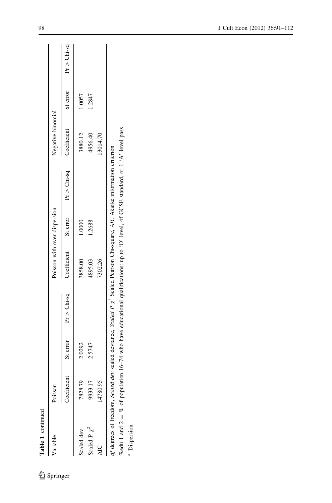| Table 1 continued             |             |          |                                                                                                                                  |                              |        |                                    |                   |        |                        |
|-------------------------------|-------------|----------|----------------------------------------------------------------------------------------------------------------------------------|------------------------------|--------|------------------------------------|-------------------|--------|------------------------|
| Variable                      | Poisson     |          |                                                                                                                                  | Poisson with over dispersion |        |                                    | Negative binomial |        |                        |
|                               | Coefficient | St error | $Pr > Chi$ -sq                                                                                                                   |                              |        | Coefficient St error $Pr > Chi-sq$ | Coefficient       |        | St error $Pr > Chi-sq$ |
| Scaled dev                    | 7828.79     | 2.0292   |                                                                                                                                  | 3858.00                      | 1.0000 |                                    | 3880.12           | 1.0057 |                        |
| Scaled P $\chi^2$             | 9933.17     | 2.5747   |                                                                                                                                  | 4895.03                      | 1.2688 |                                    | 4956.40           | 1.2847 |                        |
|                               | 4780.95     |          |                                                                                                                                  | 7302.26                      |        |                                    | 13014.70          |        |                        |
| df degrees of freedom, Scaled |             |          | dev scaled deviance, Scaled P $\chi^2$ Scaled Pearson Chi-square, AIC Akaike information criterion                               |                              |        |                                    |                   |        |                        |
|                               |             |          | % edu 1 and 2 = % of population 16-74 who have educational qualifications: up to 'O' level, of GCSE standard, or 1'A' level pass |                              |        |                                    |                   |        |                        |
| <sup>a</sup> Dispersion       |             |          |                                                                                                                                  |                              |        |                                    |                   |        |                        |

 $\underline{\textcircled{\tiny 2}}$  Springer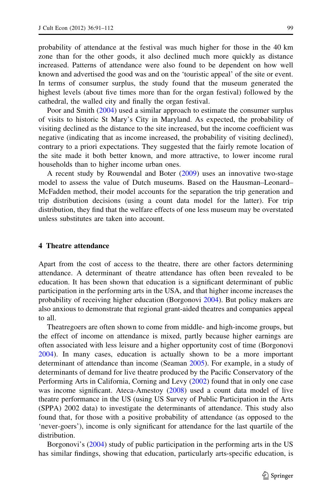probability of attendance at the festival was much higher for those in the 40 km zone than for the other goods, it also declined much more quickly as distance increased. Patterns of attendance were also found to be dependent on how well known and advertised the good was and on the 'touristic appeal' of the site or event. In terms of consumer surplus, the study found that the museum generated the highest levels (about five times more than for the organ festival) followed by the cathedral, the walled city and finally the organ festival.

Poor and Smith [\(2004](#page-20-0)) used a similar approach to estimate the consumer surplus of visits to historic St Mary's City in Maryland. As expected, the probability of visiting declined as the distance to the site increased, but the income coefficient was negative (indicating that as income increased, the probability of visiting declined), contrary to a priori expectations. They suggested that the fairly remote location of the site made it both better known, and more attractive, to lower income rural households than to higher income urban ones.

A recent study by Rouwendal and Boter [\(2009\)](#page-20-0) uses an innovative two-stage model to assess the value of Dutch museums. Based on the Hausman–Leonard– McFadden method, their model accounts for the separation the trip generation and trip distribution decisions (using a count data model for the latter). For trip distribution, they find that the welfare effects of one less museum may be overstated unless substitutes are taken into account.

#### 4 Theatre attendance

Apart from the cost of access to the theatre, there are other factors determining attendance. A determinant of theatre attendance has often been revealed to be education. It has been shown that education is a significant determinant of public participation in the performing arts in the USA, and that higher income increases the probability of receiving higher education (Borgonovi [2004\)](#page-19-0). But policy makers are also anxious to demonstrate that regional grant-aided theatres and companies appeal to all.

Theatregoers are often shown to come from middle- and high-income groups, but the effect of income on attendance is mixed, partly because higher earnings are often associated with less leisure and a higher opportunity cost of time (Borgonovi [2004\)](#page-19-0). In many cases, education is actually shown to be a more important determinant of attendance than income (Seaman [2005\)](#page-20-0). For example, in a study of determinants of demand for live theatre produced by the Pacific Conservatory of the Performing Arts in California, Corning and Levy ([2002\)](#page-20-0) found that in only one case was income significant. Ateca-Amestoy  $(2008)$  $(2008)$  used a count data model of live theatre performance in the US (using US Survey of Public Participation in the Arts (SPPA) 2002 data) to investigate the determinants of attendance. This study also found that, for those with a positive probability of attendance (as opposed to the 'never-goers'), income is only significant for attendance for the last quartile of the distribution.

Borgonovi's [\(2004](#page-19-0)) study of public participation in the performing arts in the US has similar findings, showing that education, particularly arts-specific education, is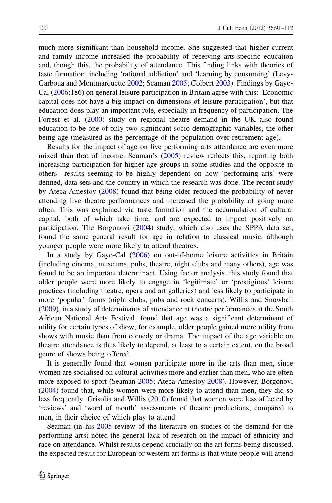much more significant than household income. She suggested that higher current and family income increased the probability of receiving arts-specific education and, though this, the probability of attendance. This finding links with theories of taste formation, including 'rational addiction' and 'learning by consuming' (Levy-Garboua and Montmarquette [2002;](#page-20-0) Seaman [2005;](#page-20-0) Colbert [2003\)](#page-20-0). Findings by Gayo-Cal ([2006:](#page-20-0)186) on general leisure participation in Britain agree with this: 'Economic capital does not have a big impact on dimensions of leisure participation', but that education does play an important role, especially in frequency of participation. The Forrest et al. [\(2000](#page-20-0)) study on regional theatre demand in the UK also found education to be one of only two significant socio-demographic variables, the other being age (measured as the percentage of the population over retirement age).

Results for the impact of age on live performing arts attendance are even more mixed than that of income. Seaman's [\(2005](#page-20-0)) review reflects this, reporting both increasing participation for higher age groups in some studies and the opposite in others—results seeming to be highly dependent on how 'performing arts' were defined, data sets and the country in which the research was done. The recent study by Ateca-Amestoy [\(2008](#page-19-0)) found that being older reduced the probability of never attending live theatre performances and increased the probability of going more often. This was explained via taste formation and the accumulation of cultural capital, both of which take time, and are expected to impact positively on participation. The Borgonovi ([2004\)](#page-19-0) study, which also uses the SPPA data set, found the same general result for age in relation to classical music, although younger people were more likely to attend theatres.

In a study by Gayo-Cal [\(2006](#page-20-0)) on out-of-home leisure activities in Britain (including cinema, museums, pubs, theatre, night clubs and many others), age was found to be an important determinant. Using factor analysis, this study found that older people were more likely to engage in 'legitimate' or 'prestigious' leisure practices (including theatre, opera and art galleries) and less likely to participate in more 'popular' forms (night clubs, pubs and rock concerts). Willis and Snowball [\(2009](#page-21-0)), in a study of determinants of attendance at theatre performances at the South African National Arts Festival, found that age was a significant determinant of utility for certain types of show, for example, older people gained more utility from shows with music than from comedy or drama. The impact of the age variable on theatre attendance is thus likely to depend, at least to a certain extent, on the broad genre of shows being offered.

It is generally found that women participate more in the arts than men, since women are socialised on cultural activities more and earlier than men, who are often more exposed to sport (Seaman [2005;](#page-20-0) Ateca-Amestoy [2008](#page-19-0)). However, Borgonovi [\(2004](#page-19-0)) found that, while women were more likely to attend than men, they did so less frequently. Grisolia and Willis [\(2010](#page-20-0)) found that women were less affected by 'reviews' and 'word of mouth' assessments of theatre productions, compared to men, in their choice of which play to attend.

Seaman (in his  $2005$  review of the literature on studies of the demand for the performing arts) noted the general lack of research on the impact of ethnicity and race on attendance. Whilst results depend crucially on the art forms being discussed, the expected result for European or western art forms is that white people will attend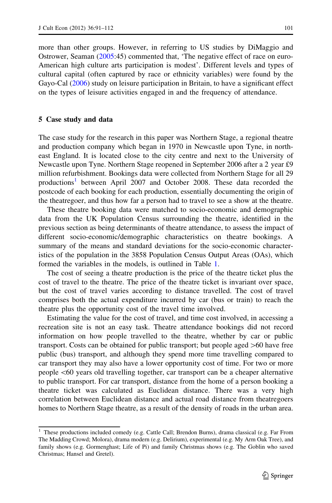more than other groups. However, in referring to US studies by DiMaggio and Ostrower, Seaman [\(2005](#page-20-0):45) commented that, 'The negative effect of race on euro-American high culture arts participation is modest'. Different levels and types of cultural capital (often captured by race or ethnicity variables) were found by the Gayo-Cal ([2006\)](#page-20-0) study on leisure participation in Britain, to have a significant effect on the types of leisure activities engaged in and the frequency of attendance.

#### 5 Case study and data

The case study for the research in this paper was Northern Stage, a regional theatre and production company which began in 1970 in Newcastle upon Tyne, in northeast England. It is located close to the city centre and next to the University of Newcastle upon Tyne. Northern Stage reopened in September 2006 after a 2 year £9 million refurbishment. Bookings data were collected from Northern Stage for all 29 productions<sup>1</sup> between April 2007 and October 2008. These data recorded the postcode of each booking for each production, essentially documenting the origin of the theatregoer, and thus how far a person had to travel to see a show at the theatre.

These theatre booking data were matched to socio-economic and demographic data from the UK Population Census surrounding the theatre, identified in the previous section as being determinants of theatre attendance, to assess the impact of different socio-economic/demographic characteristics on theatre bookings. A summary of the means and standard deviations for the socio-economic characteristics of the population in the 3858 Population Census Output Areas (OAs), which formed the variables in the models, is outlined in Table [1](#page-6-0).

The cost of seeing a theatre production is the price of the theatre ticket plus the cost of travel to the theatre. The price of the theatre ticket is invariant over space, but the cost of travel varies according to distance travelled. The cost of travel comprises both the actual expenditure incurred by car (bus or train) to reach the theatre plus the opportunity cost of the travel time involved.

Estimating the value for the cost of travel, and time cost involved, in accessing a recreation site is not an easy task. Theatre attendance bookings did not record information on how people travelled to the theatre, whether by car or public transport. Costs can be obtained for public transport; but people aged  $>60$  have free public (bus) transport, and although they spend more time travelling compared to car transport they may also have a lower opportunity cost of time. For two or more people\60 years old travelling together, car transport can be a cheaper alternative to public transport. For car transport, distance from the home of a person booking a theatre ticket was calculated as Euclidean distance. There was a very high correlation between Euclidean distance and actual road distance from theatregoers homes to Northern Stage theatre, as a result of the density of roads in the urban area.

<sup>&</sup>lt;sup>1</sup> These productions included comedy (e.g. Cattle Call; Brendon Burns), drama classical (e.g. Far From The Madding Crowd; Molora), drama modern (e.g. Delirium), experimental (e.g. My Arm Oak Tree), and family shows (e.g. Gormenghast; Life of Pi) and family Christmas shows (e.g. The Goblin who saved Christmas; Hansel and Gretel).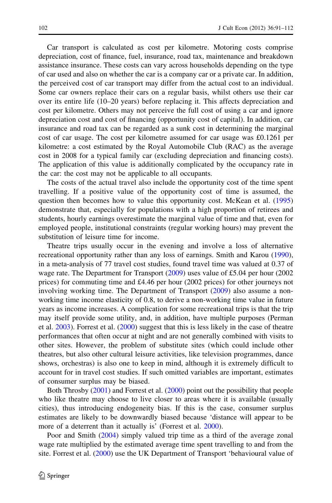Car transport is calculated as cost per kilometre. Motoring costs comprise depreciation, cost of finance, fuel, insurance, road tax, maintenance and breakdown assistance insurance. These costs can vary across households depending on the type of car used and also on whether the car is a company car or a private car. In addition, the perceived cost of car transport may differ from the actual cost to an individual. Some car owners replace their cars on a regular basis, whilst others use their car over its entire life (10–20 years) before replacing it. This affects depreciation and cost per kilometre. Others may not perceive the full cost of using a car and ignore depreciation cost and cost of financing (opportunity cost of capital). In addition, car insurance and road tax can be regarded as a sunk cost in determining the marginal cost of car usage. The cost per kilometre assumed for car usage was £0.1261 per kilometre: a cost estimated by the Royal Automobile Club (RAC) as the average cost in 2008 for a typical family car (excluding depreciation and financing costs). The application of this value is additionally complicated by the occupancy rate in the car: the cost may not be applicable to all occupants.

The costs of the actual travel also include the opportunity cost of the time spent travelling. If a positive value of the opportunity cost of time is assumed, the question then becomes how to value this opportunity cost. McKean et al. [\(1995](#page-20-0)) demonstrate that, especially for populations with a high proportion of retirees and students, hourly earnings overestimate the marginal value of time and that, even for employed people, institutional constraints (regular working hours) may prevent the substitution of leisure time for income.

Theatre trips usually occur in the evening and involve a loss of alternative recreational opportunity rather than any loss of earnings. Smith and Karou ([1990\)](#page-20-0), in a meta-analysis of 77 travel cost studies, found travel time was valued at 0.37 of wage rate. The Department for Transport [\(2009](#page-20-0)) uses value of £5.04 per hour (2002 prices) for commuting time and £4.46 per hour (2002 prices) for other journeys not involving working time. The Department of Transport [\(2009](#page-20-0)) also assume a nonworking time income elasticity of 0.8, to derive a non-working time value in future years as income increases. A complication for some recreational trips is that the trip may itself provide some utility, and, in addition, have multiple purposes (Perman et al. [2003](#page-20-0)). Forrest et al. ([2000\)](#page-20-0) suggest that this is less likely in the case of theatre performances that often occur at night and are not generally combined with visits to other sites. However, the problem of substitute sites (which could include other theatres, but also other cultural leisure activities, like television programmes, dance shows, orchestras) is also one to keep in mind, although it is extremely difficult to account for in travel cost studies. If such omitted variables are important, estimates of consumer surplus may be biased.

Both Throsby [\(2001](#page-20-0)) and Forrest et al. ([2000\)](#page-20-0) point out the possibility that people who like theatre may choose to live closer to areas where it is available (usually cities), thus introducing endogeneity bias. If this is the case, consumer surplus estimates are likely to be downwardly biased because 'distance will appear to be more of a deterrent than it actually is' (Forrest et al. [2000\)](#page-20-0).

Poor and Smith ([2004\)](#page-20-0) simply valued trip time as a third of the average zonal wage rate multiplied by the estimated average time spent travelling to and from the site. Forrest et al. ([2000](#page-20-0)) use the UK Department of Transport 'behavioural value of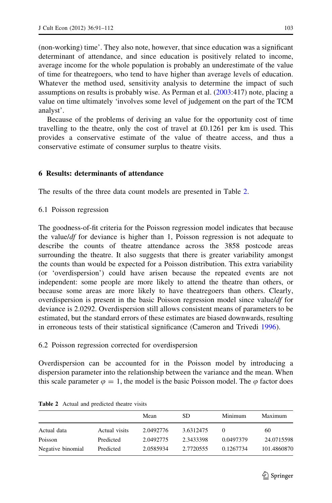<span id="page-12-0"></span>(non-working) time'. They also note, however, that since education was a significant determinant of attendance, and since education is positively related to income, average income for the whole population is probably an underestimate of the value of time for theatregoers, who tend to have higher than average levels of education. Whatever the method used, sensitivity analysis to determine the impact of such assumptions on results is probably wise. As Perman et al. [\(2003](#page-20-0):417) note, placing a value on time ultimately 'involves some level of judgement on the part of the TCM analyst'.

Because of the problems of deriving an value for the opportunity cost of time travelling to the theatre, only the cost of travel at  $£0.1261$  per km is used. This provides a conservative estimate of the value of theatre access, and thus a conservative estimate of consumer surplus to theatre visits.

## 6 Results: determinants of attendance

The results of the three data count models are presented in Table 2.

6.1 Poisson regression

The goodness-of-fit criteria for the Poisson regression model indicates that because the value/*df* for deviance is higher than 1, Poisson regression is not adequate to describe the counts of theatre attendance across the 3858 postcode areas surrounding the theatre. It also suggests that there is greater variability amongst the counts than would be expected for a Poisson distribution. This extra variability (or 'overdispersion') could have arisen because the repeated events are not independent: some people are more likely to attend the theatre than others, or because some areas are more likely to have theatregoers than others. Clearly, overdispersion is present in the basic Poisson regression model since value/df for deviance is 2.0292. Overdispersion still allows consistent means of parameters to be estimated, but the standard errors of these estimates are biased downwards, resulting in erroneous tests of their statistical significance (Cameron and Trivedi [1996\)](#page-20-0).

### 6.2 Poisson regression corrected for overdispersion

Overdispersion can be accounted for in the Poisson model by introducing a dispersion parameter into the relationship between the variance and the mean. When this scale parameter  $\varphi = 1$ , the model is the basic Poisson model. The  $\varphi$  factor does

|                   |               | Mean      | SD.       | Minimum   | Maximum     |
|-------------------|---------------|-----------|-----------|-----------|-------------|
| Actual data       | Actual visits | 2.0492776 | 3.6312475 |           | 60          |
| Poisson           | Predicted     | 2.0492775 | 2.3433398 | 0.0497379 | 24.0715598  |
| Negative binomial | Predicted     | 2.0585934 | 2.7720555 | 0.1267734 | 101.4860870 |

Table 2 Actual and predicted theatre visits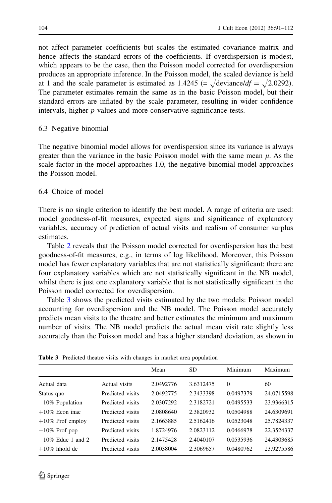<span id="page-13-0"></span>not affect parameter coefficients but scales the estimated covariance matrix and hence affects the standard errors of the coefficients. If overdispersion is modest, which appears to be the case, then the Poisson model corrected for overdispersion produces an appropriate inference. In the Poisson model, the scaled deviance is held at 1 and the scale parameter is estimated as 1.4245 (=  $\sqrt{\text{deviance}}/df = \sqrt{2.0292}$ ). The parameter estimates remain the same as in the basic Poisson model, but their standard errors are inflated by the scale parameter, resulting in wider confidence intervals, higher  $p$  values and more conservative significance tests.

### 6.3 Negative binomial

The negative binomial model allows for overdispersion since its variance is always greater than the variance in the basic Poisson model with the same mean  $\mu$ . As the scale factor in the model approaches 1.0, the negative binomial model approaches the Poisson model.

## 6.4 Choice of model

There is no single criterion to identify the best model. A range of criteria are used: model goodness-of-fit measures, expected signs and significance of explanatory variables, accuracy of prediction of actual visits and realism of consumer surplus estimates.

Table [2](#page-12-0) reveals that the Poisson model corrected for overdispersion has the best goodness-of-fit measures, e.g., in terms of log likelihood. Moreover, this Poisson model has fewer explanatory variables that are not statistically significant; there are four explanatory variables which are not statistically significant in the NB model, whilst there is just one explanatory variable that is not statistically significant in the Poisson model corrected for overdispersion.

Table 3 shows the predicted visits estimated by the two models: Poisson model accounting for overdispersion and the NB model. The Poisson model accurately predicts mean visits to the theatre and better estimates the minimum and maximum number of visits. The NB model predicts the actual mean visit rate slightly less accurately than the Poisson model and has a higher standard deviation, as shown in

|                      |                  | Mean      | <b>SD</b> | Minimum   | Maximum    |
|----------------------|------------------|-----------|-----------|-----------|------------|
| Actual data          | Actual visits    | 2.0492776 | 3.6312475 | $\Omega$  | 60         |
| Status quo           | Predicted visits | 2.0492775 | 2.3433398 | 0.0497379 | 24.0715598 |
| $-10\%$ Population   | Predicted visits | 2.0307292 | 2.3182721 | 0.0495533 | 23.9366315 |
| $+10\%$ Econ inac    | Predicted visits | 2.0808640 | 2.3820932 | 0.0504988 | 24.6309691 |
| $+10\%$ Prof employ  | Predicted visits | 2.1663885 | 2.5162416 | 0.0523048 | 25.7824337 |
| $-10\%$ Prof pop     | Predicted visits | 1.8724976 | 2.0823112 | 0.0466978 | 22.3524337 |
| $-10\%$ Educ 1 and 2 | Predicted visits | 2.1475428 | 2.4040107 | 0.0535936 | 24.4303685 |
| $+10\%$ hhold dc     | Predicted visits | 2.0038004 | 2.3069657 | 0.0480762 | 23.9275586 |

|  | Table 3 Predicted theatre visits with changes in market area population |  |  |  |  |  |  |  |  |  |
|--|-------------------------------------------------------------------------|--|--|--|--|--|--|--|--|--|
|--|-------------------------------------------------------------------------|--|--|--|--|--|--|--|--|--|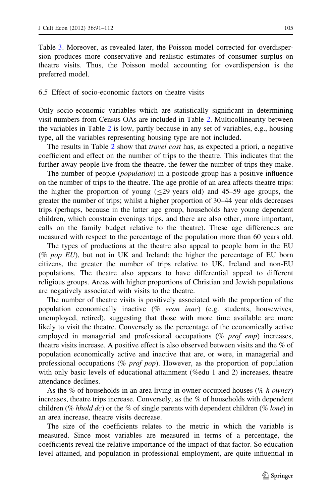Table [3](#page-13-0). Moreover, as revealed later, the Poisson model corrected for overdispersion produces more conservative and realistic estimates of consumer surplus on theatre visits. Thus, the Poisson model accounting for overdispersion is the preferred model.

#### 6.5 Effect of socio-economic factors on theatre visits

Only socio-economic variables which are statistically significant in determining visit numbers from Census OAs are included in Table [2.](#page-12-0) Multicollinearity between the variables in Table [2](#page-12-0) is low, partly because in any set of variables, e.g., housing type, all the variables representing housing type are not included.

The results in Table [2](#page-12-0) show that *travel cost* has, as expected a priori, a negative coefficient and effect on the number of trips to the theatre. This indicates that the further away people live from the theatre, the fewer the number of trips they make.

The number of people *(population)* in a postcode group has a positive influence on the number of trips to the theatre. The age profile of an area affects theatre trips: the higher the proportion of young ( $\leq$ 29 years old) and 45–59 age groups, the greater the number of trips; whilst a higher proportion of 30–44 year olds decreases trips (perhaps, because in the latter age group, households have young dependent children, which constrain evenings trips, and there are also other, more important, calls on the family budget relative to the theatre). These age differences are measured with respect to the percentage of the population more than 60 years old.

The types of productions at the theatre also appeal to people born in the EU (% pop  $EU$ ), but not in UK and Ireland: the higher the percentage of EU born citizens, the greater the number of trips relative to UK, Ireland and non-EU populations. The theatre also appears to have differential appeal to different religious groups. Areas with higher proportions of Christian and Jewish populations are negatively associated with visits to the theatre.

The number of theatre visits is positively associated with the proportion of the population economically inactive ( $%$  *econ inac*) (e.g. students, housewives, unemployed, retired), suggesting that those with more time available are more likely to visit the theatre. Conversely as the percentage of the economically active employed in managerial and professional occupations  $(\%$  prof emp) increases, theatre visits increase. A positive effect is also observed between visits and the % of population economically active and inactive that are, or were, in managerial and professional occupations (% prof pop). However, as the proportion of population with only basic levels of educational attainment (%edu 1 and 2) increases, theatre attendance declines.

As the % of households in an area living in owner occupied houses (% h owner) increases, theatre trips increase. Conversely, as the % of households with dependent children (% *hhold dc*) or the % of single parents with dependent children (% *lone*) in an area increase, theatre visits decrease.

The size of the coefficients relates to the metric in which the variable is measured. Since most variables are measured in terms of a percentage, the coefficients reveal the relative importance of the impact of that factor. So education level attained, and population in professional employment, are quite influential in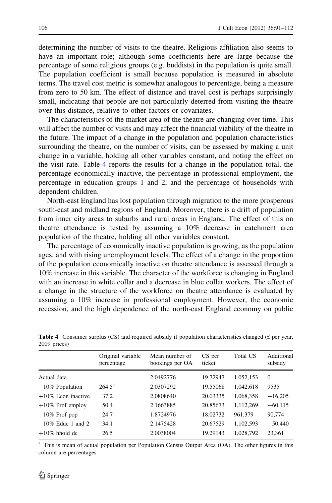<span id="page-15-0"></span>determining the number of visits to the theatre. Religious affiliation also seems to have an important role; although some coefficients here are large because the percentage of some religious groups (e.g. buddists) in the population is quite small. The population coefficient is small because population is measured in absolute terms. The travel cost metric is somewhat analogous to percentage, being a measure from zero to 50 km. The effect of distance and travel cost is perhaps surprisingly small, indicating that people are not particularly deterred from visiting the theatre over this distance, relative to other factors or covariates.

The characteristics of the market area of the theatre are changing over time. This will affect the number of visits and may affect the financial viability of the theatre in the future. The impact of a change in the population and population characteristics surrounding the theatre, on the number of visits, can be assessed by making a unit change in a variable, holding all other variables constant, and noting the effect on the visit rate. Table 4 reports the results for a change in the population total, the percentage economically inactive, the percentage in professional employment, the percentage in education groups 1 and 2, and the percentage of households with dependent children.

North-east England has lost population through migration to the more prosperous south-east and midland regions of England. Moreover, there is a drift of population from inner city areas to suburbs and rural areas in England. The effect of this on theatre attendance is tested by assuming a 10% decrease in catchment area population of the theatre, holding all other variables constant.

The percentage of economically inactive population is growing, as the population ages, and with rising unemployment levels. The effect of a change in the proportion of the population economically inactive on theatre attendance is assessed through a 10% increase in this variable. The character of the workforce is changing in England with an increase in white collar and a decrease in blue collar workers. The effect of a change in the structure of the workforce on theatre attendance is evaluated by assuming a 10% increase in professional employment. However, the economic recession, and the high dependence of the north-east England economy on public

|                       | Original variable<br>percentage | Mean number of<br>bookings per OA | CS per<br>ticket | Total CS  | Additional<br>subsidy |
|-----------------------|---------------------------------|-----------------------------------|------------------|-----------|-----------------------|
| Actual data           |                                 | 2.0492776                         | 19.72947         | 1,052,153 | $\Omega$              |
| $-10\%$ Population    | $264.5^{\rm a}$                 | 2.0307292                         | 19.55068         | 1,042,618 | 9535                  |
| $+10\%$ Econ inactive | 37.2                            | 2.0808640                         | 20.03335         | 1,068,358 | $-16,205$             |
| $+10\%$ Prof employ   | 50.4                            | 2.1663885                         | 20.85673         | 1,112,269 | $-60,115$             |
| $-10\%$ Prof pop      | 24.7                            | 1.8724976                         | 18.02732         | 961.379   | 90.774                |
| $-10\%$ Educ 1 and 2  | 34.1                            | 2.1475428                         | 20.67529         | 1,102,593 | $-50,440$             |
| $+10\%$ hhold dc      | 26.5                            | 2.0038004                         | 19.29143         | 1,028,792 | 23,361                |

Table 4 Consumer surplus (CS) and required subsidy if population characteristics changed (£ per year, 2009 prices)

<sup>a</sup> This is mean of actual population per Population Census Output Area (OA). The other figures in this column are percentages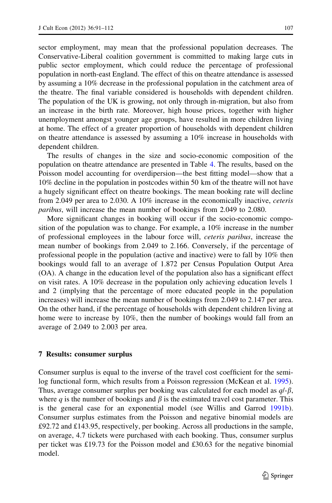sector employment, may mean that the professional population decreases. The Conservative-Liberal coalition government is committed to making large cuts in public sector employment, which could reduce the percentage of professional population in north-east England. The effect of this on theatre attendance is assessed by assuming a 10% decrease in the professional population in the catchment area of the theatre. The final variable considered is households with dependent children. The population of the UK is growing, not only through in-migration, but also from an increase in the birth rate. Moreover, high house prices, together with higher unemployment amongst younger age groups, have resulted in more children living at home. The effect of a greater proportion of households with dependent children on theatre attendance is assessed by assuming a 10% increase in households with dependent children.

The results of changes in the size and socio-economic composition of the population on theatre attendance are presented in Table [4.](#page-15-0) The results, based on the Poisson model accounting for overdipersion—the best fitting model—show that a 10% decline in the population in postcodes within 50 km of the theatre will not have a hugely significant effect on theatre bookings. The mean booking rate will decline from 2.049 per area to 2.030. A 10% increase in the economically inactive, ceteris paribus, will increase the mean number of bookings from 2.049 to 2.080.

More significant changes in booking will occur if the socio-economic composition of the population was to change. For example, a 10% increase in the number of professional employees in the labour force will, ceteris paribus, increase the mean number of bookings from 2.049 to 2.166. Conversely, if the percentage of professional people in the population (active and inactive) were to fall by 10% then bookings would fall to an average of 1.872 per Census Population Output Area (OA). A change in the education level of the population also has a significant effect on visit rates. A 10% decrease in the population only achieving education levels 1 and 2 (implying that the percentage of more educated people in the population increases) will increase the mean number of bookings from 2.049 to 2.147 per area. On the other hand, if the percentage of households with dependent children living at home were to increase by 10%, then the number of bookings would fall from an average of 2.049 to 2.003 per area.

#### 7 Results: consumer surplus

Consumer surplus is equal to the inverse of the travel cost coefficient for the semilog functional form, which results from a Poisson regression (McKean et al. [1995\)](#page-20-0). Thus, average consumer surplus per booking was calculated for each model as  $q\ell-\beta$ , where q is the number of bookings and  $\beta$  is the estimated travel cost parameter. This is the general case for an exponential model (see Willis and Garrod [1991b\)](#page-21-0). Consumer surplus estimates from the Poisson and negative binomial models are £92.72 and £143.95, respectively, per booking. Across all productions in the sample, on average, 4.7 tickets were purchased with each booking. Thus, consumer surplus per ticket was £19.73 for the Poisson model and £30.63 for the negative binomial model.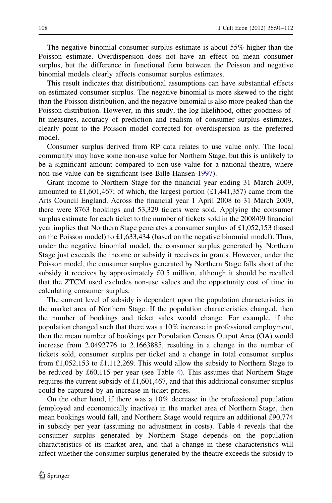The negative binomial consumer surplus estimate is about 55% higher than the Poisson estimate. Overdispersion does not have an effect on mean consumer surplus, but the difference in functional form between the Poisson and negative binomial models clearly affects consumer surplus estimates.

This result indicates that distributional assumptions can have substantial effects on estimated consumer surplus. The negative binomial is more skewed to the right than the Poisson distribution, and the negative binomial is also more peaked than the Poisson distribution. However, in this study, the log likelihood, other goodness-offit measures, accuracy of prediction and realism of consumer surplus estimates, clearly point to the Poisson model corrected for overdispersion as the preferred model.

Consumer surplus derived from RP data relates to use value only. The local community may have some non-use value for Northern Stage, but this is unlikely to be a significant amount compared to non-use value for a national theatre, where non-use value can be significant (see Bille-Hansen [1997\)](#page-19-0).

Grant income to Northern Stage for the financial year ending 31 March 2009, amounted to £1,601,467; of which, the largest portion  $(E1,441,357)$  came from the Arts Council England. Across the financial year 1 April 2008 to 31 March 2009, there were 8763 bookings and 53,329 tickets were sold. Applying the consumer surplus estimate for each ticket to the number of tickets sold in the 2008/09 financial year implies that Northern Stage generates a consumer surplus of £1,052,153 (based on the Poisson model) to  $\pounds$ 1,633,434 (based on the negative binomial model). Thus, under the negative binomial model, the consumer surplus generated by Northern Stage just exceeds the income or subsidy it receives in grants. However, under the Poisson model, the consumer surplus generated by Northern Stage falls short of the subsidy it receives by approximately £0.5 million, although it should be recalled that the ZTCM used excludes non-use values and the opportunity cost of time in calculating consumer surplus.

The current level of subsidy is dependent upon the population characteristics in the market area of Northern Stage. If the population characteristics changed, then the number of bookings and ticket sales would change. For example, if the population changed such that there was a 10% increase in professional employment, then the mean number of bookings per Population Census Output Area (OA) would increase from 2.0492776 to 2.1663885, resulting in a change in the number of tickets sold, consumer surplus per ticket and a change in total consumer surplus from £1,052,153 to £1,112,269. This would allow the subsidy to Northern Stage to be reduced by £60,115 per year (see Table [4\)](#page-15-0). This assumes that Northern Stage requires the current subsidy of £1,601,467, and that this additional consumer surplus could be captured by an increase in ticket prices.

On the other hand, if there was a 10% decrease in the professional population (employed and economically inactive) in the market area of Northern Stage, then mean bookings would fall, and Northern Stage would require an additional £90,774 in subsidy per year (assuming no adjustment in costs). Table [4](#page-15-0) reveals that the consumer surplus generated by Northern Stage depends on the population characteristics of its market area, and that a change in these characteristics will affect whether the consumer surplus generated by the theatre exceeds the subsidy to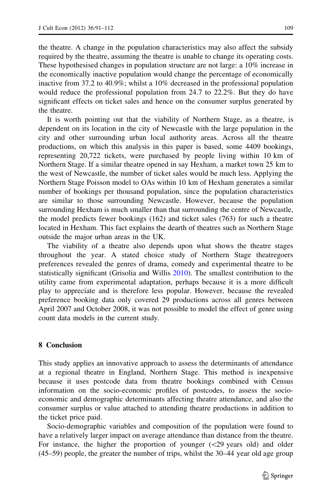the theatre. A change in the population characteristics may also affect the subsidy required by the theatre, assuming the theatre is unable to change its operating costs. These hypothesised changes in population structure are not large: a 10% increase in the economically inactive population would change the percentage of economically inactive from 37.2 to 40.9%; whilst a 10% decreased in the professional population would reduce the professional population from 24.7 to 22.2%. But they do have significant effects on ticket sales and hence on the consumer surplus generated by the theatre.

It is worth pointing out that the viability of Northern Stage, as a theatre, is dependent on its location in the city of Newcastle with the large population in the city and other surrounding urban local authority areas. Across all the theatre productions, on which this analysis in this paper is based, some 4409 bookings, representing 20,722 tickets, were purchased by people living within 10 km of Northern Stage. If a similar theatre opened in say Hexham, a market town 25 km to the west of Newcastle, the number of ticket sales would be much less. Applying the Northern Stage Poisson model to OAs within 10 km of Hexham generates a similar number of bookings per thousand population, since the population characteristics are similar to those surrounding Newcastle. However, because the population surrounding Hexham is much smaller than that surrounding the centre of Newcastle, the model predicts fewer bookings (162) and ticket sales (763) for such a theatre located in Hexham. This fact explains the dearth of theatres such as Northern Stage outside the major urban areas in the UK.

The viability of a theatre also depends upon what shows the theatre stages throughout the year. A stated choice study of Northern Stage theatregoers preferences revealed the genres of drama, comedy and experimental theatre to be statistically significant (Grisolia and Willis [2010\)](#page-20-0). The smallest contribution to the utility came from experimental adaptation, perhaps because it is a more difficult play to appreciate and is therefore less popular. However, because the revealed preference booking data only covered 29 productions across all genres between April 2007 and October 2008, it was not possible to model the effect of genre using count data models in the current study.

### 8 Conclusion

This study applies an innovative approach to assess the determinants of attendance at a regional theatre in England, Northern Stage. This method is inexpensive because it uses postcode data from theatre bookings combined with Census information on the socio-economic profiles of postcodes, to assess the socioeconomic and demographic determinants affecting theatre attendance, and also the consumer surplus or value attached to attending theatre productions in addition to the ticket price paid.

Socio-demographic variables and composition of the population were found to have a relatively larger impact on average attendance than distance from the theatre. For instance, the higher the proportion of younger  $\langle$  29 years old) and older (45–59) people, the greater the number of trips, whilst the 30–44 year old age group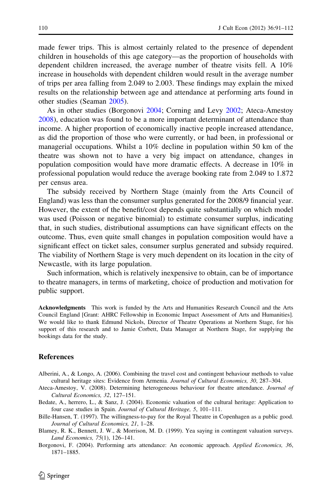<span id="page-19-0"></span>made fewer trips. This is almost certainly related to the presence of dependent children in households of this age category—as the proportion of households with dependent children increased, the average number of theatre visits fell. A 10% increase in households with dependent children would result in the average number of trips per area falling from 2.049 to 2.003. These findings may explain the mixed results on the relationship between age and attendance at performing arts found in other studies (Seaman [2005](#page-20-0)).

As in other studies (Borgonovi 2004; Corning and Levy [2002](#page-20-0); Ateca-Amestoy 2008), education was found to be a more important determinant of attendance than income. A higher proportion of economically inactive people increased attendance, as did the proportion of those who were currently, or had been, in professional or managerial occupations. Whilst a 10% decline in population within 50 km of the theatre was shown not to have a very big impact on attendance, changes in population composition would have more dramatic effects. A decrease in 10% in professional population would reduce the average booking rate from 2.049 to 1.872 per census area.

The subsidy received by Northern Stage (mainly from the Arts Council of England) was less than the consumer surplus generated for the 2008/9 financial year. However, the extent of the benefit/cost depends quite substantially on which model was used (Poisson or negative binomial) to estimate consumer surplus, indicating that, in such studies, distributional assumptions can have significant effects on the outcome. Thus, even quite small changes in population composition would have a significant effect on ticket sales, consumer surplus generated and subsidy required. The viability of Northern Stage is very much dependent on its location in the city of Newcastle, with its large population.

Such information, which is relatively inexpensive to obtain, can be of importance to theatre managers, in terms of marketing, choice of production and motivation for public support.

Acknowledgments This work is funded by the Arts and Humanities Research Council and the Arts Council England [Grant: AHRC Fellowship in Economic Impact Assessment of Arts and Humanities]. We would like to thank Edmund Nickols, Director of Theatre Operations at Northern Stage, for his support of this research and to Jamie Corbett, Data Manager at Northern Stage, for supplying the bookings data for the study.

#### References

- Alberini, A., & Longo, A. (2006). Combining the travel cost and contingent behaviour methods to value cultural heritage sites: Evidence from Armenia. Journal of Cultural Economics, 30, 287–304.
- Ateca-Amestoy, V. (2008). Determining heterogeneous behaviour for theatre attendance. Journal of Cultural Economics, 32, 127–151.
- Bedate, A., herrero, L., & Sanz, J. (2004). Economic valuation of the cultural heritage: Application to four case studies in Spain. Journal of Cultural Heritage, 5, 101–111.
- Bille-Hansen, T. (1997). The willingness-to-pay for the Royal Theatre in Copenhagen as a public good. Journal of Cultural Economics, 21, 1–28.
- Blamey, R. K., Bennett, J. W., & Morrison, M. D. (1999). Yea saying in contingent valuation surveys. Land Economics, 75(1), 126–141.
- Borgonovi, F. (2004). Performing arts attendance: An economic approach. Applied Economics, 36, 1871–1885.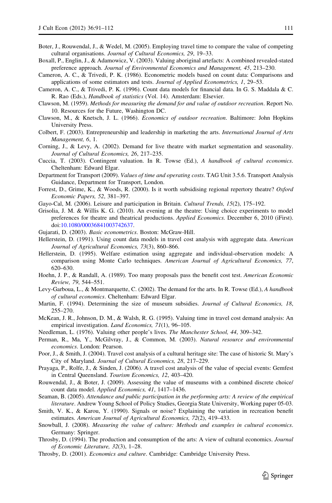- <span id="page-20-0"></span>Boter, J., Rouwendal, J., & Wedel, M. (2005). Employing travel time to compare the value of competing cultural organisations. Journal of Cultural Economics, 29, 19–33.
- Boxall, P., Englin, J., & Adamowicz, V. (2003). Valuing aboriginal artefacts: A combined revealed-stated preference approach. Journal of Environmental Economics and Management, 45, 213–230.
- Cameron, A. C., & Trivedi, P. K. (1986). Econometric models based on count data: Comparisons and applications of some estimators and tests. Journal of Applied Econometrics, 1, 29–53.
- Cameron, A. C., & Trivedi, P. K. (1996). Count data models for financial data. In G. S. Maddala & C. R. Rao (Eds.), Handbook of statistics (Vol. 14). Amsterdam: Elsevier.
- Clawson, M. (1959). Methods for measuring the demand for and value of outdoor recreation. Report No. 10. Resources for the Future, Washington DC.
- Clawson, M., & Knetsch, J. L. (1966). Economics of outdoor recreation. Baltimore: John Hopkins University Press.
- Colbert, F. (2003). Entrepreneurship and leadership in marketing the arts. International Journal of Arts Management, 6, 1.
- Corning, J., & Levy, A. (2002). Demand for live theatre with market segmentation and seasonality. Journal of Cultural Economics, 26, 217–235.
- Cuccia, T. (2003). Contingent valuation. In R. Towse (Ed.), A handbook of cultural economics. Cheltenham: Edward Elgar.
- Department for Transport (2009). Values of time and operating costs. TAG Unit 3.5.6. Transport Analysis Guidance, Department for Transport, London.
- Forrest, D., Grime, K., & Woods, R. (2000). Is it worth subsidising regional repertory theatre? Oxford Economic Papers, 52, 381–397.
- Gayo-Cal, M. (2006). Leisure and participation in Britain. Cultural Trends, 15(2), 175–192.
- Grisolia, J. M. & Willis K. G. (2010). An evening at the theatre: Using choice experiments to model preferences for theatre and theatrical productions. Applied Economics. December 6, 2010 (iFirst). doi[:10.1080/00036841003742637](http://dx.doi.org/10.1080/00036841003742637).
- Gujarati, D. (2003). Basic econometrics. Boston: McGraw-Hill.
- Hellerstein, D. (1991). Using count data models in travel cost analysis with aggregate data. American Journal of Agricultural Economics, 73(3), 860–866.
- Hellerstein, D. (1995). Welfare estimation using aggregate and individual-observation models: A comparison using Monte Carlo techniques. American Journal of Agricultural Economics, 77, 620–630.
- Hoehn, J. P., & Randall, A. (1989). Too many proposals pass the benefit cost test. American Economic Review, 79, 544–551.
- Levy-Garboua, L., & Montmarquette, C. (2002). The demand for the arts. In R. Towse (Ed.), A handbook of cultural economics. Cheltenham: Edward Elgar.
- Martin, F. (1994). Determining the size of museum subsidies. Journal of Cultural Economics, 18, 255–270.
- McKean, J. R., Johnson, D. M., & Walsh, R. G. (1995). Valuing time in travel cost demand analysis: An empirical investigation. Land Economics, 71(1), 96-105.
- Needleman, L. (1976). Valuing other people's lives. The Manchester School, 44, 309-342.
- Perman, R., Ma, Y., McGilvray, J., & Common, M. (2003). Natural resource and environmental economics. London: Pearson.
- Poor, J., & Smith, J. (2004). Travel cost analysis of a cultural heritage site: The case of historic St. Mary's City of Maryland. Journal of Cultural Economics, 28, 217–229.
- Prayaga, P., Rolfe, J., & Sinden, J. (2006). A travel cost analysis of the value of special events: Gemfest in Central Queensland. Tourism Economics, 12, 403–420.
- Rouwendal, J., & Boter, J. (2009). Assessing the value of museums with a combined discrete choice/ count data model. Applied Economics, 41, 1417–1436.
- Seaman, B. (2005). Attendance and public participation in the performing arts: A review of the empirical literature. Andrew Young School of Policy Studies, Georgia State University, Working paper 05-03.
- Smith, V. K., & Karou, Y. (1990). Signals or noise? Explaining the variation in recreation benefit estimates. American Journal of Agricultural Economics, 72(2), 419–433.
- Snowball, J. (2008). Measuring the value of culture: Methods and examples in cultural economics. Germany: Springer.
- Throsby, D. (1994). The production and consumption of the arts: A view of cultural economics. Journal of Economic Literature, 32(3), 1–28.
- Throsby, D. (2001). Economics and culture. Cambridge: Cambridge University Press.